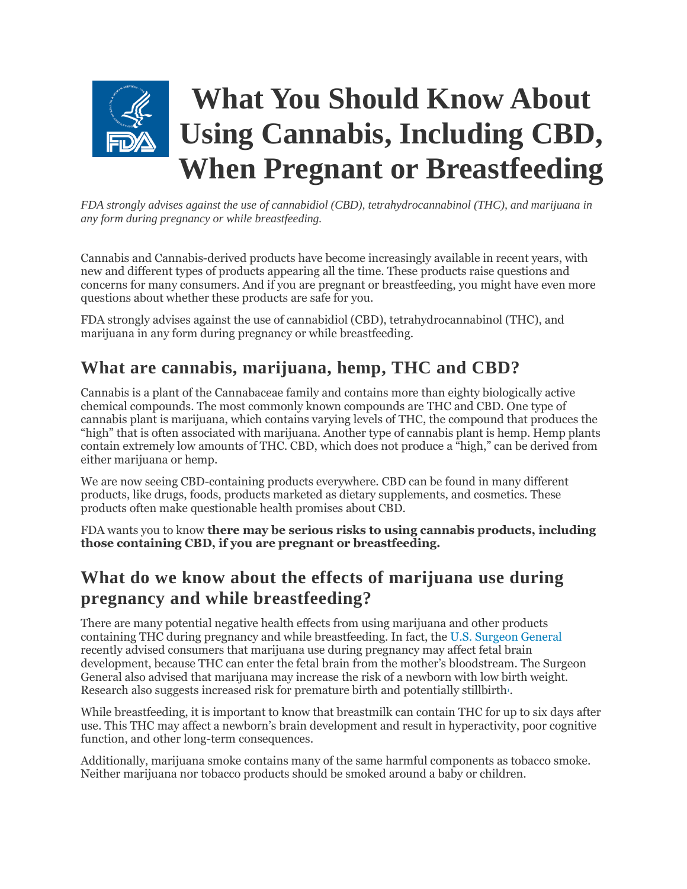

*FDA strongly advises against the use of cannabidiol (CBD), tetrahydrocannabinol (THC), and marijuana in any form during pregnancy or while breastfeeding.* 

Cannabis and Cannabis-derived products have become increasingly available in recent years, with new and different types of products appearing all the time. These products raise questions and concerns for many consumers. And if you are pregnant or breastfeeding, you might have even more questions about whether these products are safe for you.

FDA strongly advises against the use of cannabidiol (CBD), tetrahydrocannabinol (THC), and marijuana in any form during pregnancy or while breastfeeding.

## **What are cannabis, marijuana, hemp, THC and CBD?**

Cannabis is a plant of the Cannabaceae family and contains more than eighty biologically active chemical compounds. The most commonly known compounds are THC and CBD. One type of cannabis plant is marijuana, which contains varying levels of THC, the compound that produces the "high" that is often associated with marijuana. Another type of cannabis plant is hemp. Hemp plants contain extremely low amounts of THC. CBD, which does not produce a "high," can be derived from either marijuana or hemp.

We are now seeing CBD-containing products everywhere. CBD can be found in many different products, like drugs, foods, products marketed as dietary supplements, and cosmetics. These products often make questionable health promises about CBD.

FDA wants you to know **there may be serious risks to using cannabis products, including those containing CBD, if you are pregnant or breastfeeding.**

## **What do we know about the effects of marijuana use during pregnancy and while breastfeeding?**

There are many potential negative health effects from using marijuana and other products containing THC during pregnancy and while breastfeeding. In fact, the [U.S. Surgeon General](https://www.hhs.gov/surgeongeneral/reports-and-publications/addiction-and-substance-misuse/advisory-on-marijuana-use-and-developing-brain/index.html) recently advised consumers that marijuana use during pregnancy may affect fetal brain development, because THC can enter the fetal brain from the mother's bloodstream. The Surgeon General also advised that marijuana may increase the risk of a newborn with low birth weight. Research also suggests increased risk for premature birth and potentially stillbirth[.](https://www.fda.gov/consumers/consumer-updates/what-you-should-know-about-using-cannabis-including-cbd-when-pregnant-or-breastfeeding#1)

While breastfeeding, it is important to know that breastmilk can contain THC for up to six days after use. This THC may affect a newborn's brain development and result in hyperactivity, poor cognitive function, and other long-term consequences.

Additionally, marijuana smoke contains many of the same harmful components as tobacco smoke. Neither marijuana nor tobacco products should be smoked around a baby or children.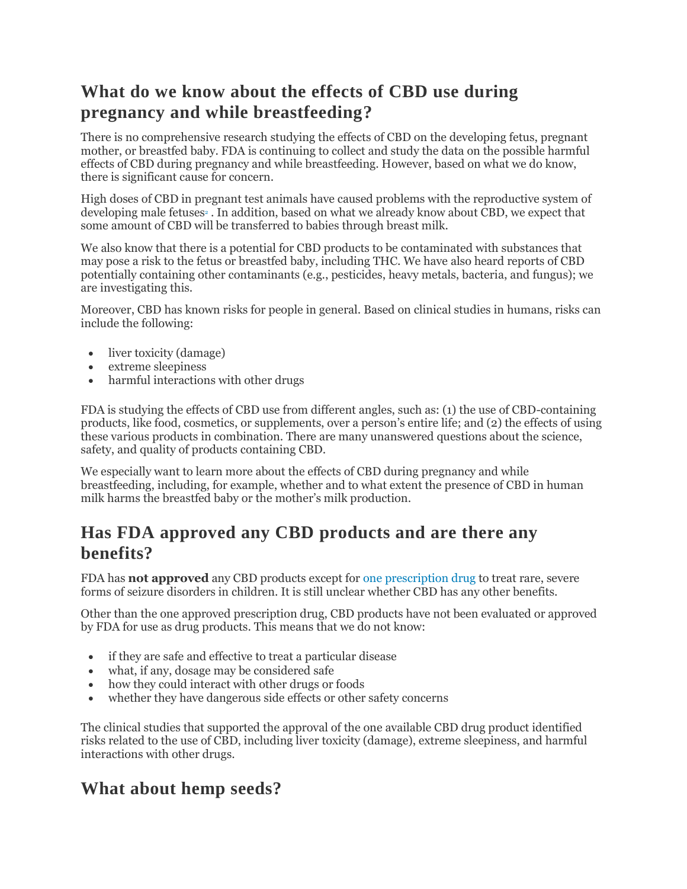# **What do we know about the effects of CBD use during pregnancy and while breastfeeding?**

There is no comprehensive research studying the effects of CBD on the developing fetus, pregnant mother, or breastfed baby. FDA is continuing to collect and study the data on the possible harmful effects of CBD during pregnancy and while breastfeeding. However, based on what we do know, there is significant cause for concern.

High doses of CBD in pregnant test animals have caused problems with the reproductive system of developing male fetu[s](https://www.fda.gov/consumers/consumer-updates/what-you-should-know-about-using-cannabis-including-cbd-when-pregnant-or-breastfeeding#2)es<sup>2</sup>. In addition, based on what we already know about CBD, we expect that some amount of CBD will be transferred to babies through breast milk.

We also know that there is a potential for CBD products to be contaminated with substances that may pose a risk to the fetus or breastfed baby, including THC. We have also heard reports of CBD potentially containing other contaminants (e.g., pesticides, heavy metals, bacteria, and fungus); we are investigating this.

Moreover, CBD has known risks for people in general. Based on clinical studies in humans, risks can include the following:

- liver toxicity (damage)
- extreme sleepiness
- harmful interactions with other drugs

FDA is studying the effects of CBD use from different angles, such as: (1) the use of CBD-containing products, like food, cosmetics, or supplements, over a person's entire life; and (2) the effects of using these various products in combination. There are many unanswered questions about the science, safety, and quality of products containing CBD.

We especially want to learn more about the effects of CBD during pregnancy and while breastfeeding, including, for example, whether and to what extent the presence of CBD in human milk harms the breastfed baby or the mother's milk production.

### **Has FDA approved any CBD products and are there any benefits?**

FDA has **not approved** any CBD products except fo[r one prescription drug](https://www.fda.gov/news-events/press-announcements/fda-approves-first-drug-comprised-active-ingredient-derived-marijuana-treat-rare-severe-forms) to treat rare, severe forms of seizure disorders in children. It is still unclear whether CBD has any other benefits.

Other than the one approved prescription drug, CBD products have not been evaluated or approved by FDA for use as drug products. This means that we do not know:

- if they are safe and effective to treat a particular disease
- what, if any, dosage may be considered safe
- how they could interact with other drugs or foods
- whether they have dangerous side effects or other safety concerns

The clinical studies that supported the approval of the one available CBD drug product identified risks related to the use of CBD, including liver toxicity (damage), extreme sleepiness, and harmful interactions with other drugs.

#### **What about hemp seeds?**